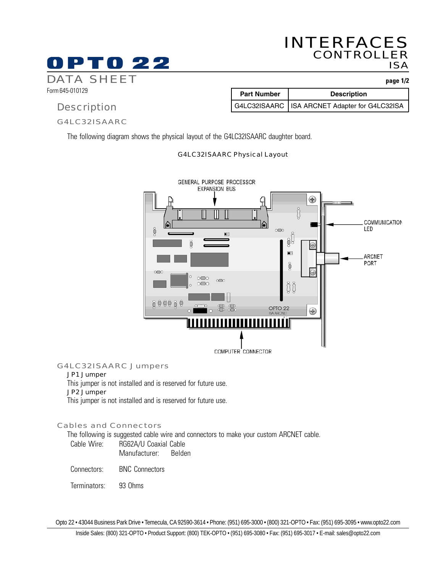# INTERFACES CONTROLLER ISA

Part Number | Description

G4LC32ISAARC | ISA ARCNET Adapter for G4LC32ISA

# DATA SHEET **page 1/2**

Form 645-010129

## **Description**

### G4LC32ISAARC

PT0 22

The following diagram shows the physical layout of the G4LC32ISAARC daughter board.

#### G4LC32ISAARC Physical Layout



## G4LC32ISAARC Jumpers

## JP1 Jumper

This jumper is not installed and is reserved for future use.

#### JP2 Jumper

This jumper is not installed and is reserved for future use.

#### Cables and Connectors

The following is suggested cable wire and connectors to make your custom ARCNET cable.

| Cable Wire: | RG62A/U Coaxial Cable |        |
|-------------|-----------------------|--------|
|             | Manufacturer:         | Belden |

Connectors: BNC Connectors

Terminators: 93 Ohms

Opto 22 • 43044 Business Park Drive • Temecula, CA 92590-3614 • Phone: (951) 695-3000 • (800) 321-OPTO • Fax: (951) 695-3095 • www.opto22.com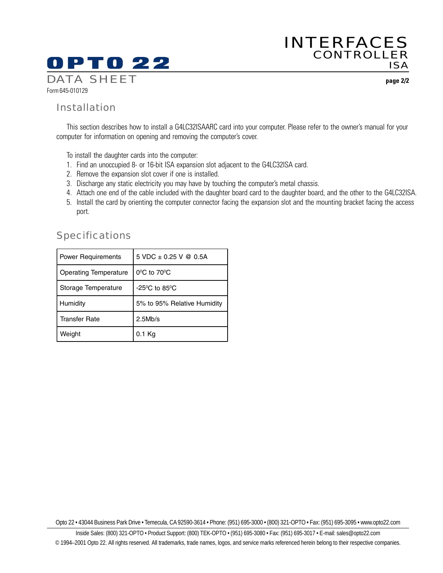# **OPTO 22**

Form 645-010129 DATA SHEET **page 2/2**

## Installation

This section describes how to install a G4LC32ISAARC card into your computer. Please refer to the owner's manual for your computer for information on opening and removing the computer's cover.

To install the daughter cards into the computer:

- 1. Find an unoccupied 8- or 16-bit ISA expansion slot adjacent to the G4LC32ISA card.
- 2. Remove the expansion slot cover if one is installed.
- 3. Discharge any static electricity you may have by touching the computer's metal chassis.
- 4. Attach one end of the cable included with the daughter board card to the daughter board, and the other to the G4LC32ISA.
- 5. Install the card by orienting the computer connector facing the expansion slot and the mounting bracket facing the access port.

| <b>Power Requirements</b>    | 5 VDC $\pm$ 0.25 V @ 0.5A          |
|------------------------------|------------------------------------|
| <b>Operating Temperature</b> | $0^{\circ}$ C to $70^{\circ}$ C    |
| Storage Temperature          | $-25^{\circ}$ C to 85 $^{\circ}$ C |
| Humidity                     | 5% to 95% Relative Humidity        |
| <b>Transfer Rate</b>         | 2.5Mb/s                            |
| Weight                       | 0.1 Ka                             |

# **Specifications**

Opto 22 • 43044 Business Park Drive • Temecula, CA 92590-3614 • Phone: (951) 695-3000 • (800) 321-OPTO • Fax: (951) 695-3095 • www.opto22.com